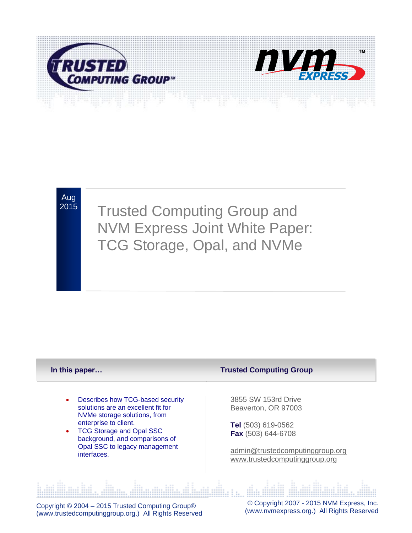

Aug

**NVM Express Joint White Paper:** <sup>2015</sup> Trusted Computing Group and TCG Storage, Opal, and NVMe

#### **In this paper…**

- Describes how TCG-based security solutions are an excellent fit for NVMe storage solutions, from enterprise to client.
- TCG Storage and Opal SSC background, and comparisons of Opal SSC to legacy management interfaces.

#### **Trusted Computing Group**

3855 SW 153rd Drive Beaverton, OR 97003

**Tel** (503) 619-0562 **Fax** (503) 644-6708

[admin@trustedcomputinggroup.org](mailto:admin@trustedcomputinggroup.org) [www.trustedcomputinggroup.org](http://www.trustedcomputinggroup.org/)

Copyright © 2004 – 2015 Trusted Computing Group® (www.trustedcomputinggroup.org.) All Rights Reserved

© Copyright 2007 - 2015 NVM Express, Inc. [\(www.nvmexpress.org.](http://www.nvmexpress.org/)) All Rights Reserved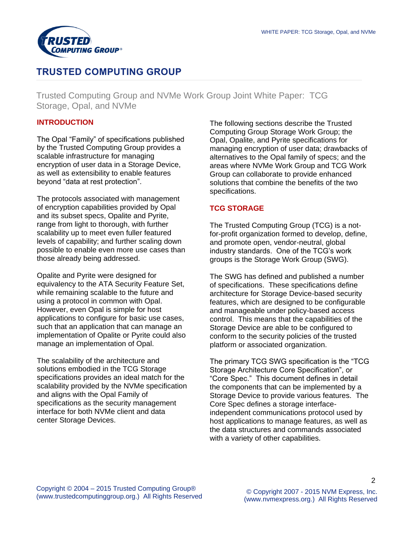

# **TRUSTED COMPUTING GROUP**

Trusted Computing Group and NVMe Work Group Joint White Paper: TCG Storage, Opal, and NVMe

# **INTRODUCTION**

The Opal "Family" of specifications published by the Trusted Computing Group provides a scalable infrastructure for managing encryption of user data in a Storage Device, as well as extensibility to enable features beyond "data at rest protection".

The protocols associated with management of encryption capabilities provided by Opal and its subset specs, Opalite and Pyrite, range from light to thorough, with further scalability up to meet even fuller featured levels of capability; and further scaling down possible to enable even more use cases than those already being addressed.

Opalite and Pyrite were designed for equivalency to the ATA Security Feature Set, while remaining scalable to the future and using a protocol in common with Opal. However, even Opal is simple for host applications to configure for basic use cases, such that an application that can manage an implementation of Opalite or Pyrite could also manage an implementation of Opal.

The scalability of the architecture and solutions embodied in the TCG Storage specifications provides an ideal match for the scalability provided by the NVMe specification and aligns with the Opal Family of specifications as the security management interface for both NVMe client and data center Storage Devices.

The following sections describe the Trusted Computing Group Storage Work Group; the Opal, Opalite, and Pyrite specifications for managing encryption of user data; drawbacks of alternatives to the Opal family of specs; and the areas where NVMe Work Group and TCG Work Group can collaborate to provide enhanced solutions that combine the benefits of the two specifications.

# **TCG STORAGE**

The Trusted Computing Group (TCG) is a notfor-profit organization formed to develop, define, and promote open, vendor-neutral, global industry standards. One of the TCG's work groups is the Storage Work Group (SWG).

The SWG has defined and published a number of specifications. These specifications define architecture for Storage Device-based security features, which are designed to be configurable and manageable under policy-based access control. This means that the capabilities of the Storage Device are able to be configured to conform to the security policies of the trusted platform or associated organization.

The primary TCG SWG specification is the "TCG Storage Architecture Core Specification", or "Core Spec." This document defines in detail the components that can be implemented by a Storage Device to provide various features. The Core Spec defines a storage interfaceindependent communications protocol used by host applications to manage features, as well as the data structures and commands associated with a variety of other capabilities.

 $\mathcal{D}$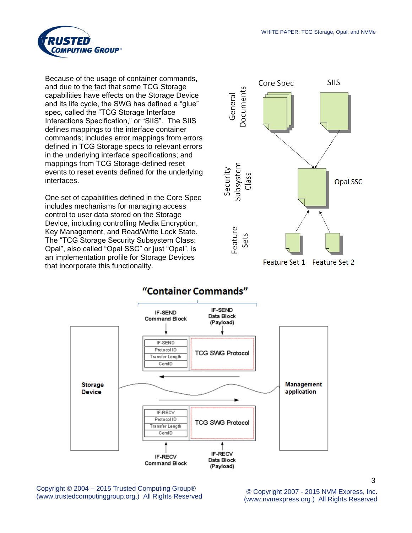

Because of the usage of container commands, and due to the fact that some TCG Storage capabilities have effects on the Storage Device and its life cycle, the SWG has defined a "glue" spec, called the "TCG Storage Interface Interactions Specification," or "SIIS". The SIIS defines mappings to the interface container commands; includes error mappings from errors defined in TCG Storage specs to relevant errors in the underlying interface specifications; and mappings from TCG Storage-defined reset events to reset events defined for the underlying interfaces.

One set of capabilities defined in the Core Spec includes mechanisms for managing access control to user data stored on the Storage Device, including controlling Media Encryption, Key Management, and Read/Write Lock State. The "TCG Storage Security Subsystem Class: Opal", also called "Opal SSC" or just "Opal", is an implementation profile for Storage Devices that incorporate this functionality.





Copyright © 2004 – 2015 Trusted Computing Group® (www.trustedcomputinggroup.org.) All Rights Reserved © Copyright 2007 - 2015 NVM Express, Inc.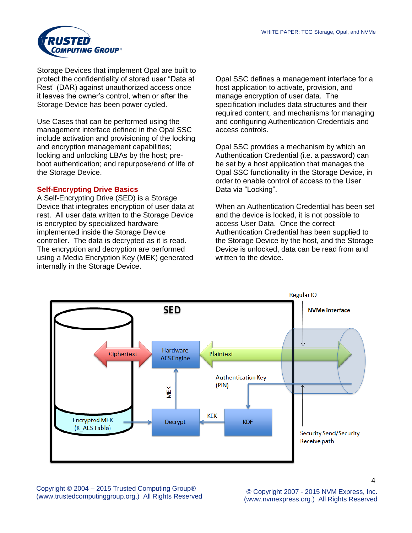

Storage Devices that implement Opal are built to protect the confidentiality of stored user "Data at Rest" (DAR) against unauthorized access once it leaves the owner's control, when or after the Storage Device has been power cycled.

Use Cases that can be performed using the management interface defined in the Opal SSC include activation and provisioning of the locking and encryption management capabilities; locking and unlocking LBAs by the host; preboot authentication; and repurpose/end of life of the Storage Device.

#### **Self-Encrypting Drive Basics**

A Self-Encrypting Drive (SED) is a Storage Device that integrates encryption of user data at rest. All user data written to the Storage Device is encrypted by specialized hardware implemented inside the Storage Device controller. The data is decrypted as it is read. The encryption and decryption are performed using a Media Encryption Key (MEK) generated internally in the Storage Device.

Opal SSC defines a management interface for a host application to activate, provision, and manage encryption of user data. The specification includes data structures and their required content, and mechanisms for managing and configuring Authentication Credentials and access controls.

Opal SSC provides a mechanism by which an Authentication Credential (i.e. a password) can be set by a host application that manages the Opal SSC functionality in the Storage Device, in order to enable control of access to the User Data via "Locking".

When an Authentication Credential has been set and the device is locked, it is not possible to access User Data. Once the correct Authentication Credential has been supplied to the Storage Device by the host, and the Storage Device is unlocked, data can be read from and written to the device.



Copyright © 2004 – 2015 Trusted Computing Group® (www.trustedcomputinggroup.org.) All Rights Reserved © Copyright 2007 - 2015 NVM Express, Inc.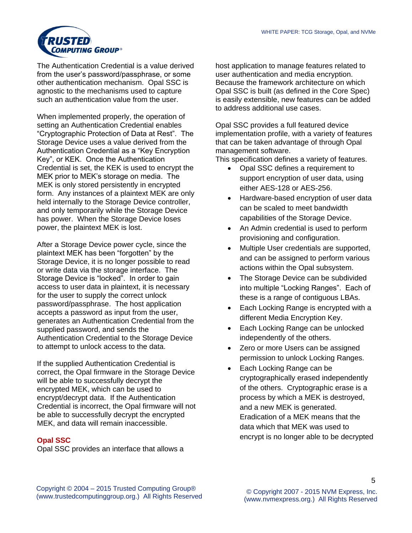

The Authentication Credential is a value derived from the user's password/passphrase, or some other authentication mechanism. Opal SSC is agnostic to the mechanisms used to capture such an authentication value from the user.

When implemented properly, the operation of setting an Authentication Credential enables "Cryptographic Protection of Data at Rest". The Storage Device uses a value derived from the Authentication Credential as a "Key Encryption Key", or KEK. Once the Authentication Credential is set, the KEK is used to encrypt the MEK prior to MEK's storage on media. The MEK is only stored persistently in encrypted form. Any instances of a plaintext MEK are only held internally to the Storage Device controller, and only temporarily while the Storage Device has power. When the Storage Device loses power, the plaintext MEK is lost.

After a Storage Device power cycle, since the plaintext MEK has been "forgotten" by the Storage Device, it is no longer possible to read or write data via the storage interface. The Storage Device is "locked". In order to gain access to user data in plaintext, it is necessary for the user to supply the correct unlock password/passphrase. The host application accepts a password as input from the user, generates an Authentication Credential from the supplied password, and sends the Authentication Credential to the Storage Device to attempt to unlock access to the data.

If the supplied Authentication Credential is correct, the Opal firmware in the Storage Device will be able to successfully decrypt the encrypted MEK, which can be used to encrypt/decrypt data. If the Authentication Credential is incorrect, the Opal firmware will not be able to successfully decrypt the encrypted MEK, and data will remain inaccessible.

## **Opal SSC**

Opal SSC provides an interface that allows a

host application to manage features related to user authentication and media encryption. Because the framework architecture on which Opal SSC is built (as defined in the Core Spec) is easily extensible, new features can be added to address additional use cases.

Opal SSC provides a full featured device implementation profile, with a variety of features that can be taken advantage of through Opal management software.

This specification defines a variety of features.

- Opal SSC defines a requirement to support encryption of user data, using either AES-128 or AES-256.
- Hardware-based encryption of user data can be scaled to meet bandwidth capabilities of the Storage Device.
- An Admin credential is used to perform provisioning and configuration.
- Multiple User credentials are supported, and can be assigned to perform various actions within the Opal subsystem.
- The Storage Device can be subdivided into multiple "Locking Ranges". Each of these is a range of contiguous LBAs.
- Each Locking Range is encrypted with a different Media Encryption Key.
- Each Locking Range can be unlocked independently of the others.
- Zero or more Users can be assigned permission to unlock Locking Ranges.
- Each Locking Range can be cryptographically erased independently of the others. Cryptographic erase is a process by which a MEK is destroyed, and a new MEK is generated. Eradication of a MEK means that the data which that MEK was used to encrypt is no longer able to be decrypted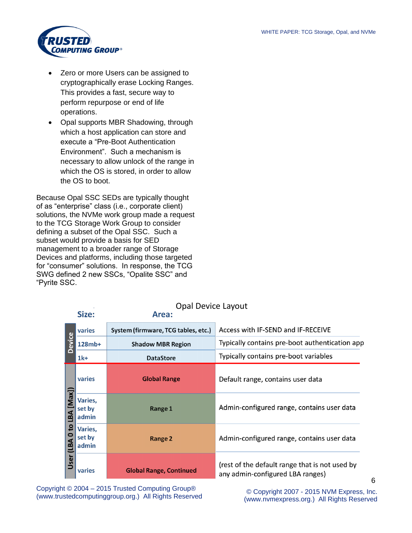

- Zero or more Users can be assigned to cryptographically erase Locking Ranges. This provides a fast, secure way to perform repurpose or end of life operations.
- Opal supports MBR Shadowing, through which a host application can store and execute a "Pre-Boot Authentication Environment". Such a mechanism is necessary to allow unlock of the range in which the OS is stored, in order to allow the OS to boot.

Because Opal SSC SEDs are typically thought of as "enterprise" class (i.e., corporate client) solutions, the NVMe work group made a request to the TCG Storage Work Group to consider defining a subset of the Opal SSC. Such a subset would provide a basis for SED management to a broader range of Storage Devices and platforms, including those targeted for "consumer" solutions. In response, the TCG SWG defined 2 new SSCs, "Opalite SSC" and "Pyrite SSC.

adipisci velit, sed quia non numquam eius modi

|                                                   | Size:                      | Opal Device Layout<br>Area:         |                                                                                    |  |
|---------------------------------------------------|----------------------------|-------------------------------------|------------------------------------------------------------------------------------|--|
|                                                   | varies                     | System (firmware, TCG tables, etc.) | Access with IF-SEND and IF-RECEIVE                                                 |  |
| Device<br>[Max]<br>LBA<br><u>ទ</u><br>LBA<br>User | 128mb+                     | <b>Shadow MBR Region</b>            | Typically contains pre-boot authentication app                                     |  |
|                                                   | $1k+$                      | <b>DataStore</b>                    | Typically contains pre-boot variables                                              |  |
|                                                   | varies                     | <b>Global Range</b>                 | Default range, contains user data                                                  |  |
|                                                   | Varies,<br>set by<br>admin | Range 1                             | Admin-configured range, contains user data                                         |  |
|                                                   | Varies,<br>set by<br>admin | Range 2                             | Admin-configured range, contains user data                                         |  |
|                                                   | varies                     | <b>Global Range, Continued</b>      | (rest of the default range that is not used by<br>any admin-configured LBA ranges) |  |

Opal Device Layout

Copyright © 2004 - 2015 Trusted Computing Group® Copyright © 2004 – 2015 Trusted Computing Group®<br>(www.trustedcomputinggroup.org.) All Rights Reserved (www.trustedcomputinggroup.org) All Rights Reserved

[\(www.nvmexpress.org.](http://www.nvmexpress.org/)) All Rights Reserved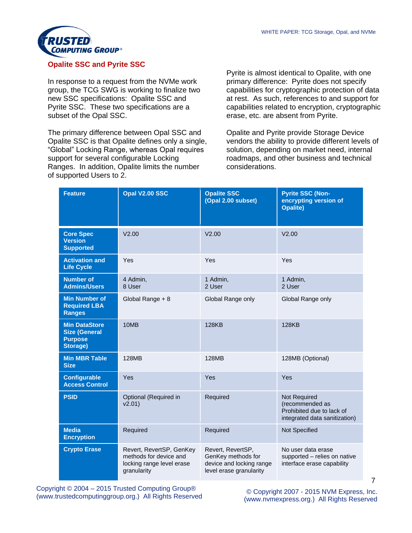

# **Opalite SSC and Pyrite SSC**

In response to a request from the NVMe work group, the TCG SWG is working to finalize two new SSC specifications: Opalite SSC and Pyrite SSC. These two specifications are a subset of the Opal SSC.

The primary difference between Opal SSC and Opalite SSC is that Opalite defines only a single, "Global" Locking Range, whereas Opal requires support for several configurable Locking Ranges. In addition, Opalite limits the number of supported Users to 2.

Pyrite is almost identical to Opalite, with one primary difference: Pyrite does not specify capabilities for cryptographic protection of data at rest. As such, references to and support for capabilities related to encryption, cryptographic erase, etc. are absent from Pyrite.

Opalite and Pyrite provide Storage Device vendors the ability to provide different levels of solution, depending on market need, internal roadmaps, and other business and technical considerations.

| <b>Feature</b>                                                             | Opal V2.00 SSC                                                                                 | <b>Opalite SSC</b><br>(Opal 2.00 subset)                                                       | <b>Pyrite SSC (Non-</b><br>encrypting version of<br><b>Opalite)</b>                           |
|----------------------------------------------------------------------------|------------------------------------------------------------------------------------------------|------------------------------------------------------------------------------------------------|-----------------------------------------------------------------------------------------------|
| <b>Core Spec</b><br><b>Version</b><br><b>Supported</b>                     | V2.00                                                                                          | V2.00                                                                                          | V2.00                                                                                         |
| <b>Activation and</b><br><b>Life Cycle</b>                                 | Yes                                                                                            | Yes                                                                                            | Yes                                                                                           |
| <b>Number of</b><br><b>Admins/Users</b>                                    | 4 Admin,<br>8 User                                                                             | 1 Admin,<br>2 User                                                                             | 1 Admin,<br>2 User                                                                            |
| <b>Min Number of</b><br><b>Required LBA</b><br><b>Ranges</b>               | Global Range + 8                                                                               | Global Range only                                                                              | Global Range only                                                                             |
| <b>Min DataStore</b><br><b>Size (General</b><br><b>Purpose</b><br>Storage) | 10MB                                                                                           | <b>128KB</b>                                                                                   | <b>128KB</b>                                                                                  |
| <b>Min MBR Table</b><br><b>Size</b>                                        | 128MB                                                                                          | <b>128MB</b>                                                                                   | 128MB (Optional)                                                                              |
| <b>Configurable</b><br><b>Access Control</b>                               | Yes                                                                                            | Yes                                                                                            | Yes                                                                                           |
| <b>PSID</b>                                                                | Optional (Required in<br>v2.01                                                                 | Required                                                                                       | Not Required<br>(recommended as<br>Prohibited due to lack of<br>integrated data sanitization) |
| <b>Media</b><br><b>Encryption</b>                                          | Required                                                                                       | Required                                                                                       | Not Specified                                                                                 |
| <b>Crypto Erase</b>                                                        | Revert, RevertSP, GenKey<br>methods for device and<br>locking range level erase<br>granularity | Revert, RevertSP,<br>GenKey methods for<br>device and locking range<br>level erase granularity | No user data erase<br>supported - relies on native<br>interface erase capability              |

Copyright © 2004 – 2015 Trusted Computing Group® (www.trustedcomputinggroup.org.) All Rights Reserved © Copyright 2007 - 2015 NVM Express, Inc.

[\(www.nvmexpress.org.](http://www.nvmexpress.org/)) All Rights Reserved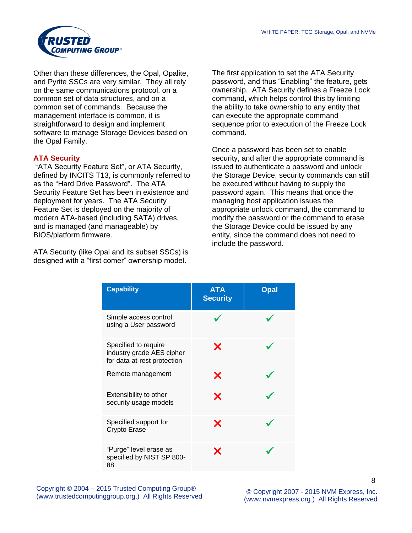

Other than these differences, the Opal, Opalite, and Pyrite SSCs are very similar. They all rely on the same communications protocol, on a common set of data structures, and on a common set of commands. Because the management interface is common, it is straightforward to design and implement software to manage Storage Devices based on the Opal Family.

# **ATA Security**

"ATA Security Feature Set", or ATA Security, defined by INCITS T13, is commonly referred to as the "Hard Drive Password". The ATA Security Feature Set has been in existence and deployment for years. The ATA Security Feature Set is deployed on the majority of modern ATA-based (including SATA) drives, and is managed (and manageable) by BIOS/platform firmware.

ATA Security (like Opal and its subset SSCs) is designed with a "first comer" ownership model.

The first application to set the ATA Security password, and thus "Enabling" the feature, gets ownership. ATA Security defines a Freeze Lock command, which helps control this by limiting the ability to take ownership to any entity that can execute the appropriate command sequence prior to execution of the Freeze Lock command.

Once a password has been set to enable security, and after the appropriate command is issued to authenticate a password and unlock the Storage Device, security commands can still be executed without having to supply the password again. This means that once the managing host application issues the appropriate unlock command, the command to modify the password or the command to erase the Storage Device could be issued by any entity, since the command does not need to include the password.

| <b>Capability</b>                                                                | <b>ATA</b><br><b>Security</b> | <b>Opal</b> |
|----------------------------------------------------------------------------------|-------------------------------|-------------|
| Simple access control<br>using a User password                                   |                               |             |
| Specified to require<br>industry grade AES cipher<br>for data-at-rest protection | Х                             |             |
| Remote management                                                                | X                             |             |
| Extensibility to other<br>security usage models                                  | Х                             |             |
| Specified support for<br>Crypto Erase                                            | Х                             |             |
| "Purge" level erase as<br>specified by NIST SP 800-<br>88                        | X                             |             |

Copyright © 2004 – 2015 Trusted Computing Group® (www.trustedcomputinggroup.org.) All Rights Reserved © Copyright 2007 - 2015 NVM Express, Inc.

[\(www.nvmexpress.org.](http://www.nvmexpress.org/)) All Rights Reserved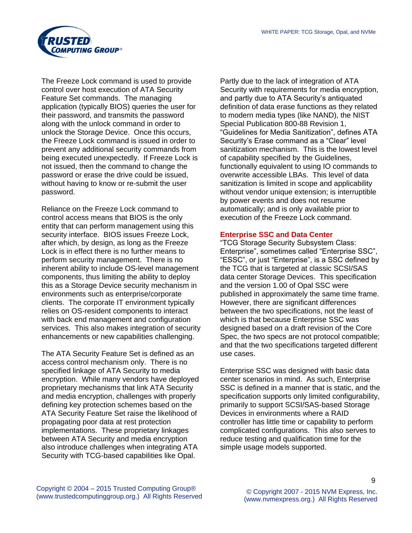

The Freeze Lock command is used to provide control over host execution of ATA Security Feature Set commands. The managing application (typically BIOS) queries the user for their password, and transmits the password along with the unlock command in order to unlock the Storage Device. Once this occurs, the Freeze Lock command is issued in order to prevent any additional security commands from being executed unexpectedly. If Freeze Lock is not issued, then the command to change the password or erase the drive could be issued, without having to know or re-submit the user password.

Reliance on the Freeze Lock command to control access means that BIOS is the only entity that can perform management using this security interface. BIOS issues Freeze Lock, after which, by design, as long as the Freeze Lock is in effect there is no further means to perform security management. There is no inherent ability to include OS-level management components, thus limiting the ability to deploy this as a Storage Device security mechanism in environments such as enterprise/corporate clients. The corporate IT environment typically relies on OS-resident components to interact with back end management and configuration services. This also makes integration of security enhancements or new capabilities challenging.

The ATA Security Feature Set is defined as an access control mechanism only. There is no specified linkage of ATA Security to media encryption. While many vendors have deployed proprietary mechanisms that link ATA Security and media encryption, challenges with properly defining key protection schemes based on the ATA Security Feature Set raise the likelihood of propagating poor data at rest protection implementations. These proprietary linkages between ATA Security and media encryption also introduce challenges when integrating ATA Security with TCG-based capabilities like Opal.

Partly due to the lack of integration of ATA Security with requirements for media encryption, and partly due to ATA Security's antiquated definition of data erase functions as they related to modern media types (like NAND), the NIST Special Publication 800-88 Revision 1, "Guidelines for Media Sanitization", defines ATA Security's Erase command as a "Clear" level sanitization mechanism. This is the lowest level of capability specified by the Guidelines, functionally equivalent to using IO commands to overwrite accessible LBAs. This level of data sanitization is limited in scope and applicability without vendor unique extension; is interruptible by power events and does not resume automatically; and is only available prior to execution of the Freeze Lock command.

## **Enterprise SSC and Data Center**

"TCG Storage Security Subsystem Class: Enterprise", sometimes called "Enterprise SSC", "ESSC", or just "Enterprise", is a SSC defined by the TCG that is targeted at classic SCSI/SAS data center Storage Devices. This specification and the version 1.00 of Opal SSC were published in approximately the same time frame. However, there are significant differences between the two specifications, not the least of which is that because Enterprise SSC was designed based on a draft revision of the Core Spec, the two specs are not protocol compatible; and that the two specifications targeted different use cases.

Enterprise SSC was designed with basic data center scenarios in mind. As such, Enterprise SSC is defined in a manner that is static, and the specification supports only limited configurability, primarily to support SCSI/SAS-based Storage Devices in environments where a RAID controller has little time or capability to perform complicated configurations. This also serves to reduce testing and qualification time for the simple usage models supported.

 $\mathsf{Q}$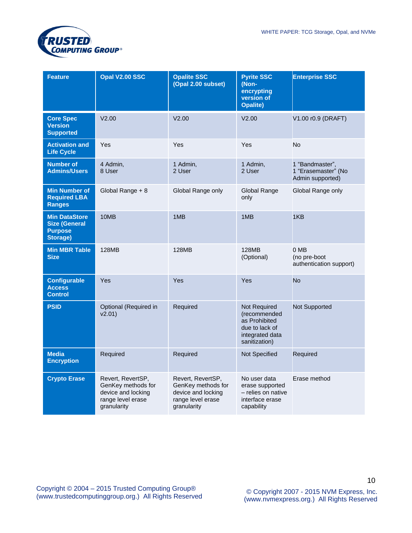

| <b>Feature</b>                                                             | Opal V2.00 SSC                                                                                    | <b>Opalite SSC</b><br>(Opal 2.00 subset)                                                          | <b>Pyrite SSC</b><br>(Non-<br>encrypting<br>version of<br><b>Opalite)</b>                           | <b>Enterprise SSC</b>                                      |
|----------------------------------------------------------------------------|---------------------------------------------------------------------------------------------------|---------------------------------------------------------------------------------------------------|-----------------------------------------------------------------------------------------------------|------------------------------------------------------------|
| <b>Core Spec</b><br><b>Version</b><br><b>Supported</b>                     | V2.00                                                                                             | V2.00                                                                                             | V2.00                                                                                               | V1.00 r0.9 (DRAFT)                                         |
| <b>Activation and</b><br><b>Life Cycle</b>                                 | Yes                                                                                               | Yes                                                                                               | Yes                                                                                                 | <b>No</b>                                                  |
| <b>Number of</b><br><b>Admins/Users</b>                                    | 4 Admin,<br>8 User                                                                                | 1 Admin,<br>2 User                                                                                | 1 Admin,<br>2 User                                                                                  | 1 "Bandmaster",<br>1 "Erasemaster" (No<br>Admin supported) |
| <b>Min Number of</b><br><b>Required LBA</b><br><b>Ranges</b>               | Global Range + 8                                                                                  | Global Range only                                                                                 | Global Range<br>only                                                                                | Global Range only                                          |
| <b>Min DataStore</b><br><b>Size (General</b><br><b>Purpose</b><br>Storage) | 10MB                                                                                              | 1MB                                                                                               | 1MB                                                                                                 | 1KB                                                        |
| <b>Min MBR Table</b><br><b>Size</b>                                        | 128MB                                                                                             | 128MB                                                                                             | 128MB<br>(Optional)                                                                                 | 0 MB<br>(no pre-boot<br>authentication support)            |
| <b>Configurable</b><br><b>Access</b><br><b>Control</b>                     | Yes                                                                                               | Yes                                                                                               | Yes                                                                                                 | <b>No</b>                                                  |
| <b>PSID</b>                                                                | Optional (Required in<br>v2.01)                                                                   | Required                                                                                          | Not Required<br>(recommended<br>as Prohibited<br>due to lack of<br>integrated data<br>sanitization) | Not Supported                                              |
| <b>Media</b><br><b>Encryption</b>                                          | Required                                                                                          | Required                                                                                          | Not Specified                                                                                       | Required                                                   |
| <b>Crypto Erase</b>                                                        | Revert, RevertSP,<br>GenKey methods for<br>device and locking<br>range level erase<br>granularity | Revert, RevertSP,<br>GenKey methods for<br>device and locking<br>range level erase<br>granularity | No user data<br>erase supported<br>- relies on native<br>interface erase<br>capability              | Erase method                                               |